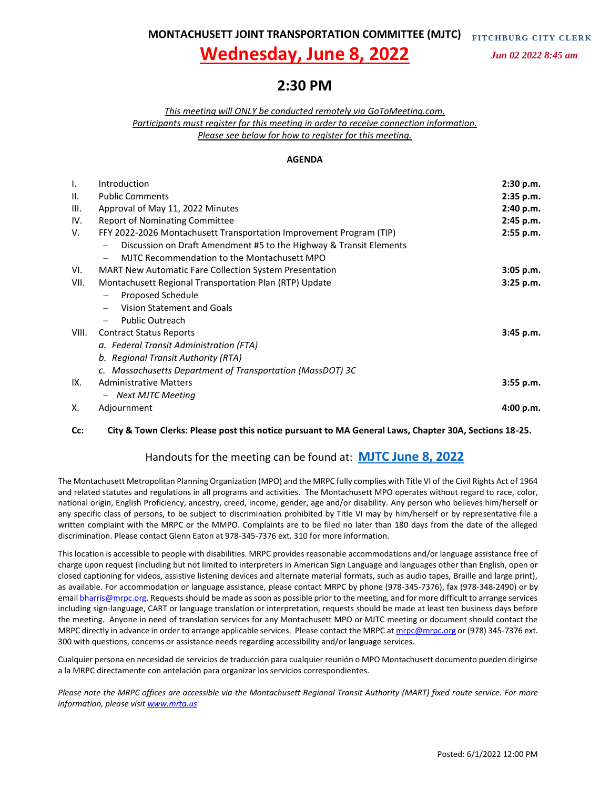**MONTACHUSETT JOINT TRANSPORTATION COMMITTEE (MJTC) FITCHBU RG C ITY CLER K**

# **Wednesday, June 8, 2022**

 *Jun 02 2022 8:45 am*

# **2:30 PM**

*This meeting will ONLY be conducted remotely via GoToMeeting.com. Participants must register for this meeting in order to receive connection information. Please see below for how to register for this meeting.*

#### **AGENDA**

| Ι.    | Introduction                                                        | 2:30 p.m.   |
|-------|---------------------------------------------------------------------|-------------|
| Ш.    | <b>Public Comments</b>                                              | 2:35 p.m.   |
| III.  | Approval of May 11, 2022 Minutes                                    | 2:40 p.m.   |
| IV.   | Report of Nominating Committee                                      | 2:45 p.m.   |
| V.    | FFY 2022-2026 Montachusett Transportation Improvement Program (TIP) | 2:55 p.m.   |
|       | Discussion on Draft Amendment #5 to the Highway & Transit Elements  |             |
|       | MJTC Recommendation to the Montachusett MPO                         |             |
| VI.   | <b>MART New Automatic Fare Collection System Presentation</b>       | $3:05$ p.m. |
| VII.  | Montachusett Regional Transportation Plan (RTP) Update              | $3:25$ p.m. |
|       | Proposed Schedule                                                   |             |
|       | Vision Statement and Goals                                          |             |
|       | <b>Public Outreach</b><br>$\overline{\phantom{0}}$                  |             |
| VIII. | <b>Contract Status Reports</b>                                      | 3:45 p.m.   |
|       | a. Federal Transit Administration (FTA)                             |             |
|       | b. Regional Transit Authority (RTA)                                 |             |
|       | c. Massachusetts Department of Transportation (MassDOT) 3C          |             |
| IX.   | <b>Administrative Matters</b>                                       | $3:55$ p.m. |
|       | - Next MJTC Meeting                                                 |             |
| х.    | Adjournment                                                         | 4:00 p.m.   |

#### **Cc: City & Town Clerks: Please post this notice pursuant to MA General Laws, Chapter 30A, Sections 18-25.**

#### Handouts for the meeting can be found at: **[MJTC June 8, 2022](https://mrpcma-my.sharepoint.com/:f:/g/personal/bharris_mrpc_org/EvdQzWqoBaROiyLfTipurRABMM17jytasiD3avjRJ1VKXA?e=YHTGhE)**

The Montachusett Metropolitan Planning Organization (MPO) and the MRPC fully complies with Title VI of the Civil Rights Act of 1964 and related statutes and regulations in all programs and activities. The Montachusett MPO operates without regard to race, color, national origin, English Proficiency, ancestry, creed, income, gender, age and/or disability. Any person who believes him/herself or any specific class of persons, to be subject to discrimination prohibited by Title VI may by him/herself or by representative file a written complaint with the MRPC or the MMPO. Complaints are to be filed no later than 180 days from the date of the alleged discrimination. Please contact Glenn Eaton at 978-345-7376 ext. 310 for more information.

This location is accessible to people with disabilities. MRPC provides reasonable accommodations and/or language assistance free of charge upon request (including but not limited to interpreters in American Sign Language and languages other than English, open or closed captioning for videos, assistive listening devices and alternate material formats, such as audio tapes, Braille and large print), as available. For accommodation or language assistance, please contact MRPC by phone (978-345-7376), fax (978-348-2490) or by email **bharris@mrpc.org**. Requests should be made as soon as possible prior to the meeting, and for more difficult to arrange services including sign-language, CART or language translation or interpretation, requests should be made at least ten business days before the meeting. Anyone in need of translation services for any Montachusett MPO or MJTC meeting or document should contact the MRPC directly in advance in order to arrange applicable services. Please contact the MRPC a[t mrpc@mrpc.org](mailto:mrpc@mrpc.org) or (978) 345-7376 ext. 300 with questions, concerns or assistance needs regarding accessibility and/or language services.

Cualquier persona en necesidad de servicios de traducción para cualquier reunión o MPO Montachusett documento pueden dirigirse a la MRPC directamente con antelación para organizar los servicios correspondientes.

*Please note the MRPC offices are accessible via the Montachusett Regional Transit Authority (MART) fixed route service. For more information, please visit [www.mrta.us](http://www.mrta.us/)*